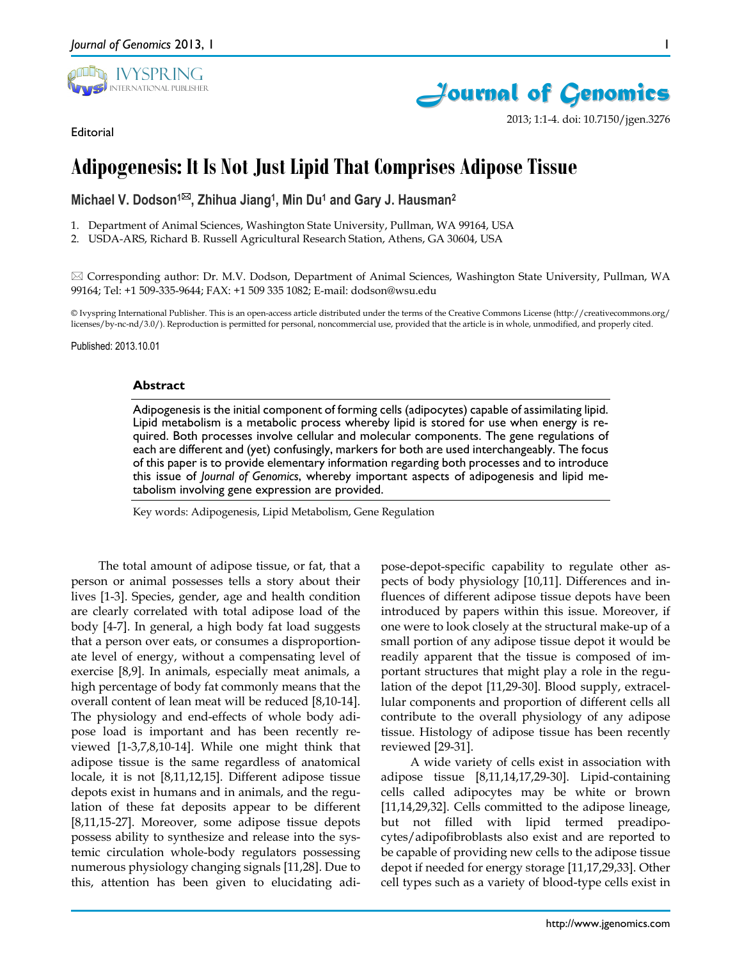





2013; 1:1-4. doi: 10.7150/jgen.3276

1

# **Adipogenesis: It Is Not Just Lipid That Comprises Adipose Tissue**

**Michael V. Dodson1, Zhihua Jiang1, Min Du1 and Gary J. Hausman2**

1. Department of Animal Sciences, Washington State University, Pullman, WA 99164, USA

2. USDA-ARS, Richard B. Russell Agricultural Research Station, Athens, GA 30604, USA

 $\boxtimes$  Corresponding author: Dr. M.V. Dodson, Department of Animal Sciences, Washington State University, Pullman, WA 99164; Tel: +1 509-335-9644; FAX: +1 509 335 1082; E-mail: dodson@wsu.edu

© Ivyspring International Publisher. This is an open-access article distributed under the terms of the Creative Commons License (http://creativecommons.org/ licenses/by-nc-nd/3.0/). Reproduction is permitted for personal, noncommercial use, provided that the article is in whole, unmodified, and properly cited.

Published: 2013.10.01

### **Abstract**

Adipogenesis is the initial component of forming cells (adipocytes) capable of assimilating lipid. Lipid metabolism is a metabolic process whereby lipid is stored for use when energy is required. Both processes involve cellular and molecular components. The gene regulations of each are different and (yet) confusingly, markers for both are used interchangeably. The focus of this paper is to provide elementary information regarding both processes and to introduce this issue of *Journal of Genomics*, whereby important aspects of adipogenesis and lipid metabolism involving gene expression are provided.

Key words: Adipogenesis, Lipid Metabolism, Gene Regulation

The total amount of adipose tissue, or fat, that a person or animal possesses tells a story about their lives [1-3]. Species, gender, age and health condition are clearly correlated with total adipose load of the body [4-7]. In general, a high body fat load suggests that a person over eats, or consumes a disproportionate level of energy, without a compensating level of exercise [8,9]. In animals, especially meat animals, a high percentage of body fat commonly means that the overall content of lean meat will be reduced [8,10-14]. The physiology and end-effects of whole body adipose load is important and has been recently reviewed [1-3,7,8,10-14]. While one might think that adipose tissue is the same regardless of anatomical locale, it is not [8,11,12,15]. Different adipose tissue depots exist in humans and in animals, and the regulation of these fat deposits appear to be different [8,11,15-27]. Moreover, some adipose tissue depots possess ability to synthesize and release into the systemic circulation whole-body regulators possessing numerous physiology changing signals [11,28]. Due to this, attention has been given to elucidating adipose-depot-specific capability to regulate other aspects of body physiology [10,11]. Differences and influences of different adipose tissue depots have been introduced by papers within this issue. Moreover, if one were to look closely at the structural make-up of a small portion of any adipose tissue depot it would be readily apparent that the tissue is composed of important structures that might play a role in the regulation of the depot [11,29-30]. Blood supply, extracellular components and proportion of different cells all contribute to the overall physiology of any adipose tissue. Histology of adipose tissue has been recently reviewed [29-31].

A wide variety of cells exist in association with adipose tissue [8,11,14,17,29-30]. Lipid-containing cells called adipocytes may be white or brown [11,14,29,32]. Cells committed to the adipose lineage, but not filled with lipid termed preadipocytes/adipofibroblasts also exist and are reported to be capable of providing new cells to the adipose tissue depot if needed for energy storage [11,17,29,33]. Other cell types such as a variety of blood-type cells exist in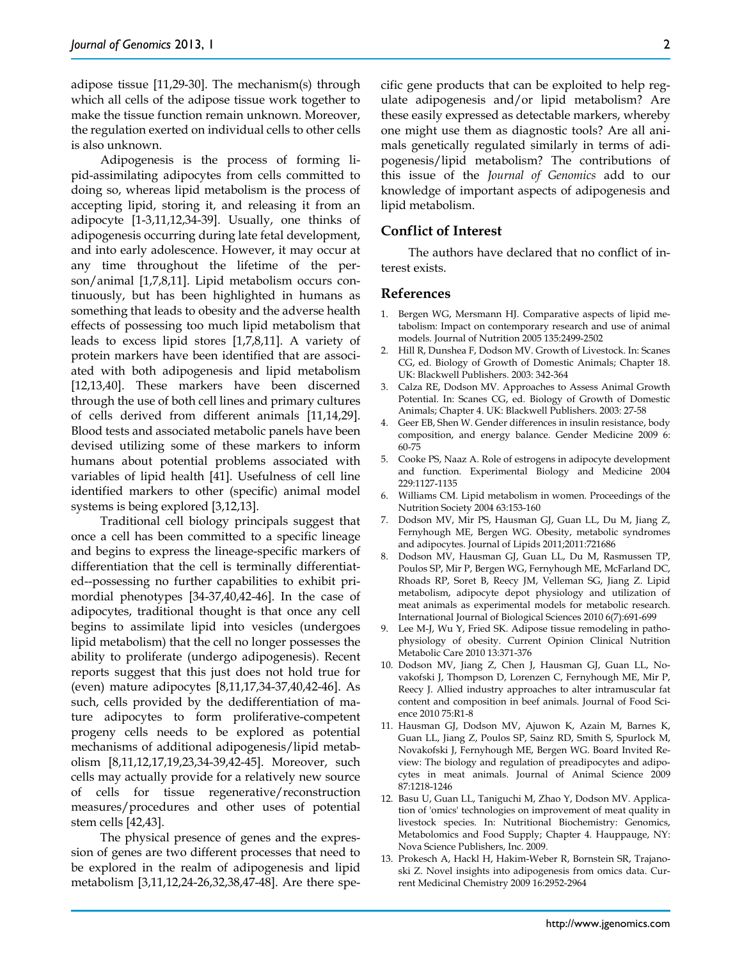adipose tissue [11,29-30]. The mechanism(s) through which all cells of the adipose tissue work together to make the tissue function remain unknown. Moreover, the regulation exerted on individual cells to other cells is also unknown.

Adipogenesis is the process of forming lipid-assimilating adipocytes from cells committed to doing so, whereas lipid metabolism is the process of accepting lipid, storing it, and releasing it from an adipocyte [1-3,11,12,34-39]. Usually, one thinks of adipogenesis occurring during late fetal development, and into early adolescence. However, it may occur at any time throughout the lifetime of the person/animal [1,7,8,11]. Lipid metabolism occurs continuously, but has been highlighted in humans as something that leads to obesity and the adverse health effects of possessing too much lipid metabolism that leads to excess lipid stores [1,7,8,11]. A variety of protein markers have been identified that are associated with both adipogenesis and lipid metabolism [12,13,40]. These markers have been discerned through the use of both cell lines and primary cultures of cells derived from different animals [11,14,29]. Blood tests and associated metabolic panels have been devised utilizing some of these markers to inform humans about potential problems associated with variables of lipid health [41]. Usefulness of cell line identified markers to other (specific) animal model systems is being explored [3,12,13].

Traditional cell biology principals suggest that once a cell has been committed to a specific lineage and begins to express the lineage-specific markers of differentiation that the cell is terminally differentiated--possessing no further capabilities to exhibit primordial phenotypes [34-37,40,42-46]. In the case of adipocytes, traditional thought is that once any cell begins to assimilate lipid into vesicles (undergoes lipid metabolism) that the cell no longer possesses the ability to proliferate (undergo adipogenesis). Recent reports suggest that this just does not hold true for (even) mature adipocytes [8,11,17,34-37,40,42-46]. As such, cells provided by the dedifferentiation of mature adipocytes to form proliferative-competent progeny cells needs to be explored as potential mechanisms of additional adipogenesis/lipid metabolism [8,11,12,17,19,23,34-39,42-45]. Moreover, such cells may actually provide for a relatively new source of cells for tissue regenerative/reconstruction measures/procedures and other uses of potential stem cells [42,43].

The physical presence of genes and the expression of genes are two different processes that need to be explored in the realm of adipogenesis and lipid metabolism [3,11,12,24-26,32,38,47-48]. Are there specific gene products that can be exploited to help regulate adipogenesis and/or lipid metabolism? Are these easily expressed as detectable markers, whereby one might use them as diagnostic tools? Are all animals genetically regulated similarly in terms of adipogenesis/lipid metabolism? The contributions of this issue of the *Journal of Genomics* add to our knowledge of important aspects of adipogenesis and lipid metabolism.

#### **Conflict of Interest**

The authors have declared that no conflict of interest exists.

## **References**

- 1. Bergen WG, Mersmann HJ. Comparative aspects of lipid metabolism: Impact on contemporary research and use of animal models. Journal of Nutrition 2005 135:2499-2502
- 2. Hill R, Dunshea F, Dodson MV. Growth of Livestock. In: Scanes CG, ed. Biology of Growth of Domestic Animals; Chapter 18. UK: Blackwell Publishers. 2003: 342-364
- 3. Calza RE, Dodson MV. Approaches to Assess Animal Growth Potential. In: Scanes CG, ed. Biology of Growth of Domestic Animals; Chapter 4. UK: Blackwell Publishers. 2003: 27-58
- 4. Geer EB, Shen W. Gender differences in insulin resistance, body composition, and energy balance. Gender Medicine 2009 6: 60-75
- 5. Cooke PS, Naaz A. Role of estrogens in adipocyte development and function. Experimental Biology and Medicine 2004 229:1127-1135
- 6. Williams CM. Lipid metabolism in women. Proceedings of the Nutrition Society 2004 63:153-160
- 7. Dodson MV, Mir PS, Hausman GJ, Guan LL, Du M, Jiang Z, Fernyhough ME, Bergen WG. Obesity, metabolic syndromes and adipocytes. Journal of Lipids 2011;2011:721686
- 8. Dodson MV, Hausman GJ, Guan LL, Du M, Rasmussen TP, Poulos SP, Mir P, Bergen WG, Fernyhough ME, McFarland DC, Rhoads RP, Soret B, Reecy JM, Velleman SG, Jiang Z. Lipid metabolism, adipocyte depot physiology and utilization of meat animals as experimental models for metabolic research. International Journal of Biological Sciences 2010 6(7):691-699
- 9. Lee M-J, Wu Y, Fried SK. Adipose tissue remodeling in pathophysiology of obesity. Current Opinion Clinical Nutrition Metabolic Care 2010 13:371-376
- 10. Dodson MV, Jiang Z, Chen J, Hausman GJ, Guan LL, Novakofski J, Thompson D, Lorenzen C, Fernyhough ME, Mir P, Reecy J. Allied industry approaches to alter intramuscular fat content and composition in beef animals. Journal of Food Science 2010 75:R1-8
- 11. Hausman GJ, Dodson MV, Ajuwon K, Azain M, Barnes K, Guan LL, Jiang Z, Poulos SP, Sainz RD, Smith S, Spurlock M, Novakofski J, Fernyhough ME, Bergen WG. Board Invited Review: The biology and regulation of preadipocytes and adipocytes in meat animals. Journal of Animal Science 2009 87:1218-1246
- 12. Basu U, Guan LL, Taniguchi M, Zhao Y, Dodson MV. Application of 'omics' technologies on improvement of meat quality in livestock species. In: Nutritional Biochemistry: Genomics, Metabolomics and Food Supply; Chapter 4. Hauppauge, NY: Nova Science Publishers, Inc. 2009.
- 13. Prokesch A, Hackl H, Hakim-Weber R, Bornstein SR, Trajanoski Z. Novel insights into adipogenesis from omics data. Current Medicinal Chemistry 2009 16:2952-2964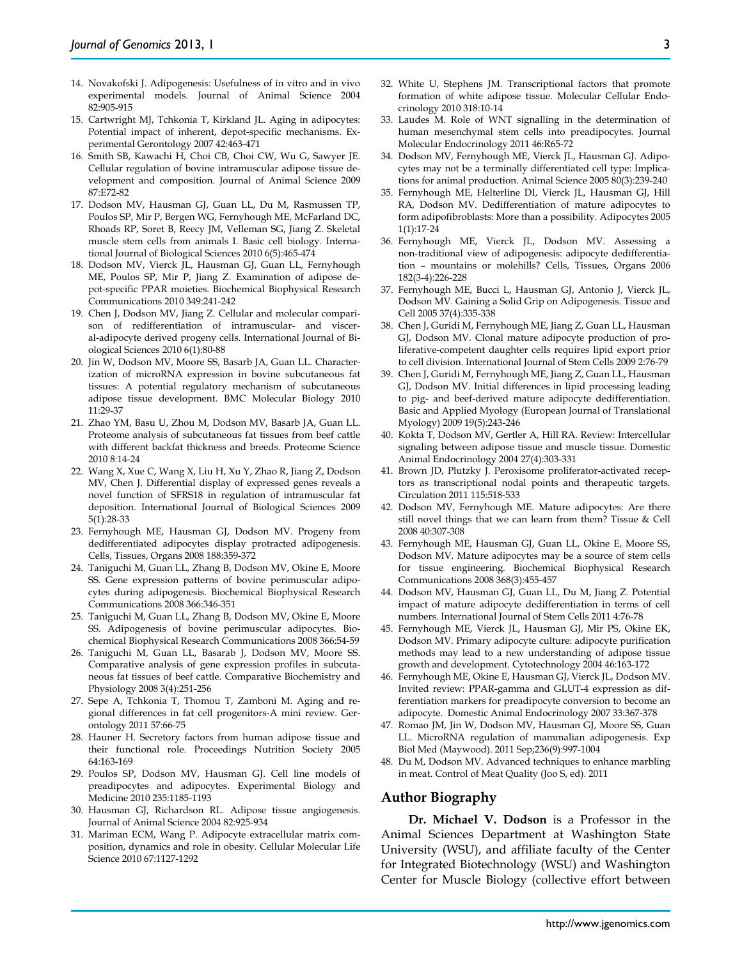- 14. Novakofski J. Adipogenesis: Usefulness of in vitro and in vivo experimental models. Journal of Animal Science 2004 82:905-915
- 15. Cartwright MJ, Tchkonia T, Kirkland JL. Aging in adipocytes: Potential impact of inherent, depot-specific mechanisms. Experimental Gerontology 2007 42:463-471
- 16. Smith SB, Kawachi H, Choi CB, Choi CW, Wu G, Sawyer JE. Cellular regulation of bovine intramuscular adipose tissue development and composition. Journal of Animal Science 2009 87:E72-82
- 17. Dodson MV, Hausman GJ, Guan LL, Du M, Rasmussen TP, Poulos SP, Mir P, Bergen WG, Fernyhough ME, McFarland DC, Rhoads RP, Soret B, Reecy JM, Velleman SG, Jiang Z. Skeletal muscle stem cells from animals I. Basic cell biology. International Journal of Biological Sciences 2010 6(5):465-474
- 18. Dodson MV, Vierck JL, Hausman GJ, Guan LL, Fernyhough ME, Poulos SP, Mir P, Jiang Z. Examination of adipose depot-specific PPAR moieties. Biochemical Biophysical Research Communications 2010 349:241-242
- 19. Chen J, Dodson MV, Jiang Z. Cellular and molecular comparison of redifferentiation of intramuscular- and visceral-adipocyte derived progeny cells. International Journal of Biological Sciences 2010 6(1):80-88
- 20. Jin W, Dodson MV, Moore SS, Basarb JA, Guan LL. Characterization of microRNA expression in bovine subcutaneous fat tissues: A potential regulatory mechanism of subcutaneous adipose tissue development. BMC Molecular Biology 2010 11:29-37
- 21. Zhao YM, Basu U, Zhou M, Dodson MV, Basarb JA, Guan LL. Proteome analysis of subcutaneous fat tissues from beef cattle with different backfat thickness and breeds. Proteome Science 2010 8:14-24
- 22. Wang X, Xue C, Wang X, Liu H, Xu Y, Zhao R, Jiang Z, Dodson MV, Chen J. Differential display of expressed genes reveals a novel function of SFRS18 in regulation of intramuscular fat deposition. International Journal of Biological Sciences 2009 5(1):28-33
- 23. Fernyhough ME, Hausman GJ, Dodson MV. Progeny from dedifferentiated adipocytes display protracted adipogenesis. Cells, Tissues, Organs 2008 188:359-372
- 24. Taniguchi M, Guan LL, Zhang B, Dodson MV, Okine E, Moore SS. Gene expression patterns of bovine perimuscular adipocytes during adipogenesis. Biochemical Biophysical Research Communications 2008 366:346-351
- 25. Taniguchi M, Guan LL, Zhang B, Dodson MV, Okine E, Moore SS. Adipogenesis of bovine perimuscular adipocytes. Biochemical Biophysical Research Communications 2008 366:54-59
- 26. Taniguchi M, Guan LL, Basarab J, Dodson MV, Moore SS. Comparative analysis of gene expression profiles in subcutaneous fat tissues of beef cattle. Comparative Biochemistry and Physiology 2008 3(4):251-256
- 27. Sepe A, Tchkonia T, Thomou T, Zamboni M. Aging and regional differences in fat cell progenitors-A mini review. Gerontology 2011 57:66-75
- 28. Hauner H. Secretory factors from human adipose tissue and their functional role. Proceedings Nutrition Society 2005 64:163-169
- 29. Poulos SP, Dodson MV, Hausman GJ. Cell line models of preadipocytes and adipocytes. Experimental Biology and Medicine 2010 235:1185-1193
- 30. Hausman GJ, Richardson RL. Adipose tissue angiogenesis. Journal of Animal Science 2004 82:925-934
- 31. Mariman ECM, Wang P. Adipocyte extracellular matrix composition, dynamics and role in obesity. Cellular Molecular Life Science 2010 67:1127-1292
- 32. White U, Stephens JM. Transcriptional factors that promote formation of white adipose tissue. Molecular Cellular Endocrinology 2010 318:10-14
- 33. Laudes M. Role of WNT signalling in the determination of human mesenchymal stem cells into preadipocytes. Journal Molecular Endocrinology 2011 46:R65-72
- 34. Dodson MV, Fernyhough ME, Vierck JL, Hausman GJ. Adipocytes may not be a terminally differentiated cell type: Implications for animal production. Animal Science 2005 80(3):239-240
- 35. Fernyhough ME, Helterline DI, Vierck JL, Hausman GJ, Hill RA, Dodson MV. Dedifferentiation of mature adipocytes to form adipofibroblasts: More than a possibility. Adipocytes 2005 1(1):17-24
- 36. Fernyhough ME, Vierck JL, Dodson MV. Assessing a non-traditional view of adipogenesis: adipocyte dedifferentiation – mountains or molehills? Cells, Tissues, Organs 2006 182(3-4):226-228
- 37. Fernyhough ME, Bucci L, Hausman GJ, Antonio J, Vierck JL, Dodson MV. Gaining a Solid Grip on Adipogenesis. Tissue and Cell 2005 37(4):335-338
- 38. Chen J, Guridi M, Fernyhough ME, Jiang Z, Guan LL, Hausman GJ, Dodson MV. Clonal mature adipocyte production of proliferative-competent daughter cells requires lipid export prior to cell division. International Journal of Stem Cells 2009 2:76-79
- 39. Chen J, Guridi M, Fernyhough ME, Jiang Z, Guan LL, Hausman GJ, Dodson MV. Initial differences in lipid processing leading to pig- and beef-derived mature adipocyte dedifferentiation. Basic and Applied Myology (European Journal of Translational Myology) 2009 19(5):243-246
- 40. Kokta T, Dodson MV, Gertler A, Hill RA. Review: Intercellular signaling between adipose tissue and muscle tissue. Domestic Animal Endocrinology 2004 27(4):303-331
- 41. Brown JD, Plutzky J. Peroxisome proliferator-activated receptors as transcriptional nodal points and therapeutic targets. Circulation 2011 115:518-533
- 42. Dodson MV, Fernyhough ME. Mature adipocytes: Are there still novel things that we can learn from them? Tissue & Cell 2008 40:307-308
- 43. Fernyhough ME, Hausman GJ, Guan LL, Okine E, Moore SS, Dodson MV. Mature adipocytes may be a source of stem cells for tissue engineering. Biochemical Biophysical Research Communications 2008 368(3):455-457
- 44. Dodson MV, Hausman GJ, Guan LL, Du M, Jiang Z. Potential impact of mature adipocyte dedifferentiation in terms of cell numbers. International Journal of Stem Cells 2011 4:76-78
- 45. Fernyhough ME, Vierck JL, Hausman GJ, Mir PS, Okine EK, Dodson MV. Primary adipocyte culture: adipocyte purification methods may lead to a new understanding of adipose tissue growth and development. Cytotechnology 2004 46:163-172
- 46. Fernyhough ME, Okine E, Hausman GJ, Vierck JL, Dodson MV. Invited review: PPAR-gamma and GLUT-4 expression as differentiation markers for preadipocyte conversion to become an adipocyte. Domestic Animal Endocrinology 2007 33:367-378
- 47. Romao JM, Jin W, Dodson MV, Hausman GJ, Moore SS, Guan LL. MicroRNA regulation of mammalian adipogenesis. Exp Biol Med (Maywood). 2011 Sep;236(9):997-1004
- 48. Du M, Dodson MV. Advanced techniques to enhance marbling in meat. Control of Meat Quality (Joo S, ed). 2011

#### **Author Biography**

**Dr. Michael V. Dodson** is a Professor in the Animal Sciences Department at Washington State University (WSU), and affiliate faculty of the Center for Integrated Biotechnology (WSU) and Washington Center for Muscle Biology (collective effort between